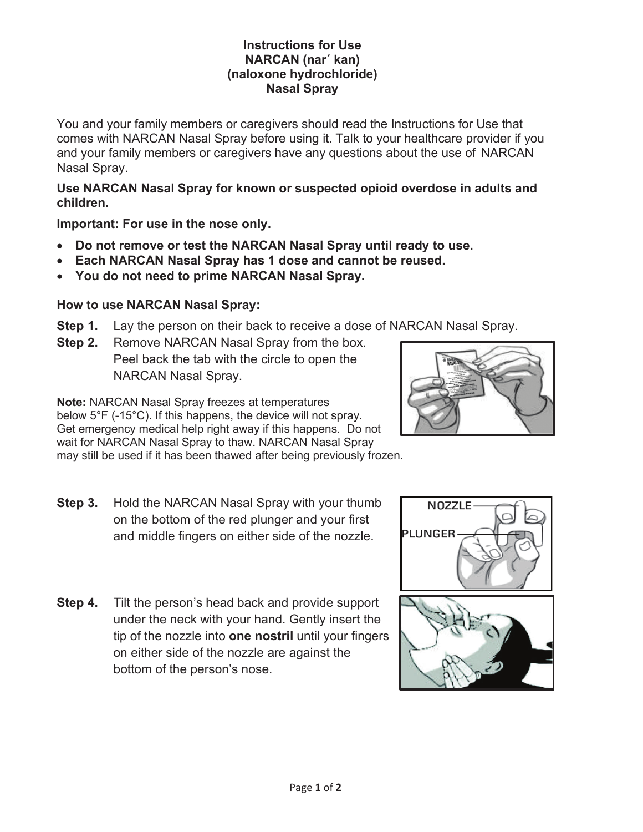#### **Instructions for Use NARCAN (nar´ kan) (naloxone hydrochloride) Nasal Spray**

You and your family members or caregivers should read the Instructions for Use that comes with NARCAN Nasal Spray before using it. Talk to your healthcare provider if you and your family members or caregivers have any questions about the use of NARCAN Nasal Spray.

#### **Use NARCAN Nasal Spray for known or suspected opioid overdose in adults and children.**

**Important: For use in the nose only.** 

- x **Do not remove or test the NARCAN Nasal Spray until ready to use.**
- **Each NARCAN Nasal Spray has 1 dose and cannot be reused.**
- **You do not need to prime NARCAN Nasal Spray.**

## **How to use NARCAN Nasal Spray:**

- **Step 1.** Lay the person on their back to receive a dose of NARCAN Nasal Spray.
- **Step 2.** Remove NARCAN Nasal Spray from the box. Peel back the tab with the circle to open the NARCAN Nasal Spray.

**Note:** NARCAN Nasal Spray freezes at temperatures below 5°F (-15°C). If this happens, the device will not spray. Get emergency medical help right away if this happens. Do not wait for NARCAN Nasal Spray to thaw. NARCAN Nasal Spray may still be used if it has been thawed after being previously frozen.

- **Step 3.** Hold the NARCAN Nasal Spray with your thumb on the bottom of the red plunger and your first and middle fingers on either side of the nozzle.
- **Step 4.** Tilt the person's head back and provide support under the neck with your hand. Gently insert the tip of the nozzle into **one nostril** until your fingers on either side of the nozzle are against the bottom of the person's nose.